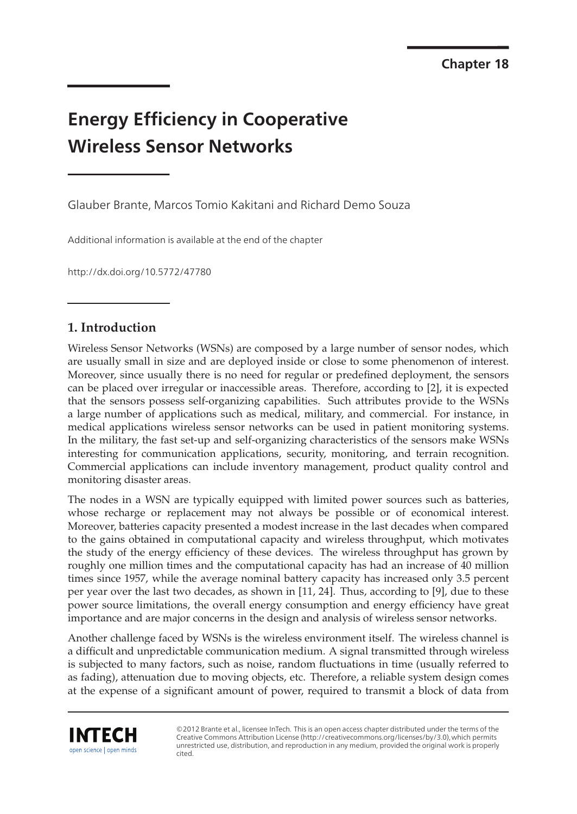**Chapter 18**

# **Energy Efficiency in Cooperative**

Glauber Brante, Marcos Tomio Kakitani and Richard Demo Souza

Additional information is available at the end of the chapter

http://dx.doi.org/10.5772/47780

# **1. Introduction**

Wireless Sensor Networks (WSNs) are composed by a large number of sensor nodes, which are usually small in size and are deployed inside or close to some phenomenon of interest. Moreover, since usually there is no need for regular or predefined deployment, the sensors can be placed over irregular or inaccessible areas. Therefore, according to [2], it is expected that the sensors possess self-organizing capabilities. Such attributes provide to the WSNs a large number of applications such as medical, military, and commercial. For instance, in medical applications wireless sensor networks can be used in patient monitoring systems. In the military, the fast set-up and self-organizing characteristics of the sensors make WSNs interesting for communication applications, security, monitoring, and terrain recognition. Commercial applications can include inventory management, product quality control and monitoring disaster areas.

The nodes in a WSN are typically equipped with limited power sources such as batteries, whose recharge or replacement may not always be possible or of economical interest. Moreover, batteries capacity presented a modest increase in the last decades when compared to the gains obtained in computational capacity and wireless throughput, which motivates the study of the energy efficiency of these devices. The wireless throughput has grown by roughly one million times and the computational capacity has had an increase of 40 million times since 1957, while the average nominal battery capacity has increased only 3.5 percent per year over the last two decades, as shown in [11, 24]. Thus, according to [9], due to these power source limitations, the overall energy consumption and energy efficiency have great importance and are major concerns in the design and analysis of wireless sensor networks.

Another challenge faced by WSNs is the wireless environment itself. The wireless channel is a difficult and unpredictable communication medium. A signal transmitted through wireless is subjected to many factors, such as noise, random fluctuations in time (usually referred to as fading), attenuation due to moving objects, etc. Therefore, a reliable system design comes at the expense of a significant amount of power, required to transmit a block of data from



©2012 Brante et al., licensee InTech. This is an open access chapter distributed under the terms of the Creative Commons Attribution License (http://creativecommons.org/licenses/by/3.0),which permits unrestricted use, distribution, and reproduction in any medium, provided the original work is properly cited.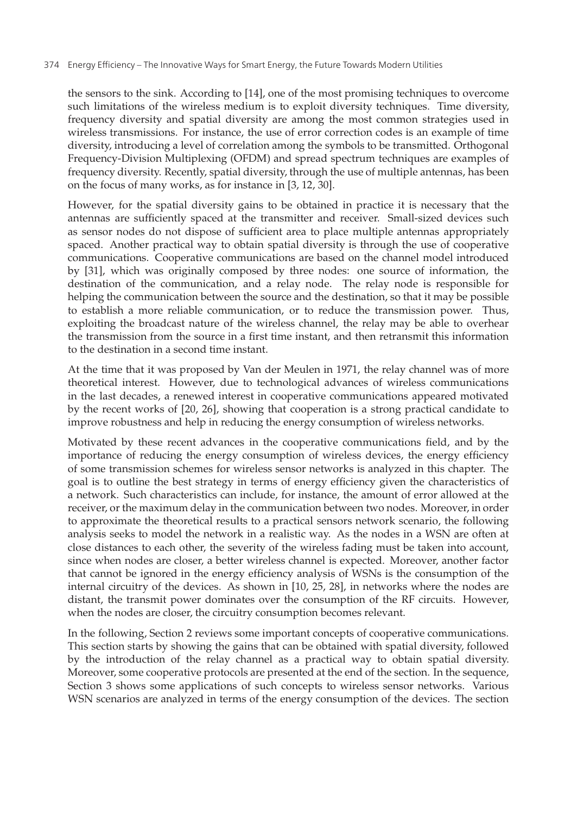the sensors to the sink. According to [14], one of the most promising techniques to overcome such limitations of the wireless medium is to exploit diversity techniques. Time diversity, frequency diversity and spatial diversity are among the most common strategies used in wireless transmissions. For instance, the use of error correction codes is an example of time diversity, introducing a level of correlation among the symbols to be transmitted. Orthogonal Frequency-Division Multiplexing (OFDM) and spread spectrum techniques are examples of frequency diversity. Recently, spatial diversity, through the use of multiple antennas, has been on the focus of many works, as for instance in [3, 12, 30].

However, for the spatial diversity gains to be obtained in practice it is necessary that the antennas are sufficiently spaced at the transmitter and receiver. Small-sized devices such as sensor nodes do not dispose of sufficient area to place multiple antennas appropriately spaced. Another practical way to obtain spatial diversity is through the use of cooperative communications. Cooperative communications are based on the channel model introduced by [31], which was originally composed by three nodes: one source of information, the destination of the communication, and a relay node. The relay node is responsible for helping the communication between the source and the destination, so that it may be possible to establish a more reliable communication, or to reduce the transmission power. Thus, exploiting the broadcast nature of the wireless channel, the relay may be able to overhear the transmission from the source in a first time instant, and then retransmit this information to the destination in a second time instant.

At the time that it was proposed by Van der Meulen in 1971, the relay channel was of more theoretical interest. However, due to technological advances of wireless communications in the last decades, a renewed interest in cooperative communications appeared motivated by the recent works of [20, 26], showing that cooperation is a strong practical candidate to improve robustness and help in reducing the energy consumption of wireless networks.

Motivated by these recent advances in the cooperative communications field, and by the importance of reducing the energy consumption of wireless devices, the energy efficiency of some transmission schemes for wireless sensor networks is analyzed in this chapter. The goal is to outline the best strategy in terms of energy efficiency given the characteristics of a network. Such characteristics can include, for instance, the amount of error allowed at the receiver, or the maximum delay in the communication between two nodes. Moreover, in order to approximate the theoretical results to a practical sensors network scenario, the following analysis seeks to model the network in a realistic way. As the nodes in a WSN are often at close distances to each other, the severity of the wireless fading must be taken into account, since when nodes are closer, a better wireless channel is expected. Moreover, another factor that cannot be ignored in the energy efficiency analysis of WSNs is the consumption of the internal circuitry of the devices. As shown in [10, 25, 28], in networks where the nodes are distant, the transmit power dominates over the consumption of the RF circuits. However, when the nodes are closer, the circuitry consumption becomes relevant.

In the following, Section 2 reviews some important concepts of cooperative communications. This section starts by showing the gains that can be obtained with spatial diversity, followed by the introduction of the relay channel as a practical way to obtain spatial diversity. Moreover, some cooperative protocols are presented at the end of the section. In the sequence, Section 3 shows some applications of such concepts to wireless sensor networks. Various WSN scenarios are analyzed in terms of the energy consumption of the devices. The section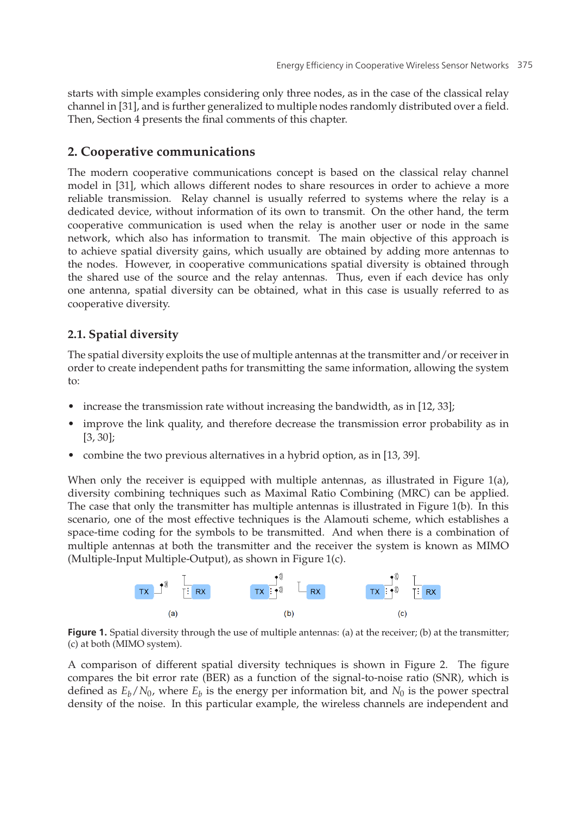starts with simple examples considering only three nodes, as in the case of the classical relay channel in [31], and is further generalized to multiple nodes randomly distributed over a field. Then, Section 4 presents the final comments of this chapter.

# **2. Cooperative communications**

The modern cooperative communications concept is based on the classical relay channel model in [31], which allows different nodes to share resources in order to achieve a more reliable transmission. Relay channel is usually referred to systems where the relay is a dedicated device, without information of its own to transmit. On the other hand, the term cooperative communication is used when the relay is another user or node in the same network, which also has information to transmit. The main objective of this approach is to achieve spatial diversity gains, which usually are obtained by adding more antennas to the nodes. However, in cooperative communications spatial diversity is obtained through the shared use of the source and the relay antennas. Thus, even if each device has only one antenna, spatial diversity can be obtained, what in this case is usually referred to as cooperative diversity.

# **2.1. Spatial diversity**

The spatial diversity exploits the use of multiple antennas at the transmitter and/or receiver in order to create independent paths for transmitting the same information, allowing the system  $f$ <sup>o</sup>:

- increase the transmission rate without increasing the bandwidth, as in [12, 33];
- improve the link quality, and therefore decrease the transmission error probability as in [3, 30];
- combine the two previous alternatives in a hybrid option, as in [13, 39].

When only the receiver is equipped with multiple antennas, as illustrated in Figure 1(a), diversity combining techniques such as Maximal Ratio Combining (MRC) can be applied. The case that only the transmitter has multiple antennas is illustrated in Figure 1(b). In this scenario, one of the most effective techniques is the Alamouti scheme, which establishes a space-time coding for the symbols to be transmitted. And when there is a combination of multiple antennas at both the transmitter and the receiver the system is known as MIMO (Multiple-Input Multiple-Output), as shown in Figure 1(c).



**Figure 1.** Spatial diversity through the use of multiple antennas: (a) at the receiver; (b) at the transmitter; (c) at both (MIMO system).

A comparison of different spatial diversity techniques is shown in Figure 2. The figure compares the bit error rate (BER) as a function of the signal-to-noise ratio (SNR), which is defined as  $E_b/N_0$ , where  $E_b$  is the energy per information bit, and  $N_0$  is the power spectral density of the noise. In this particular example, the wireless channels are independent and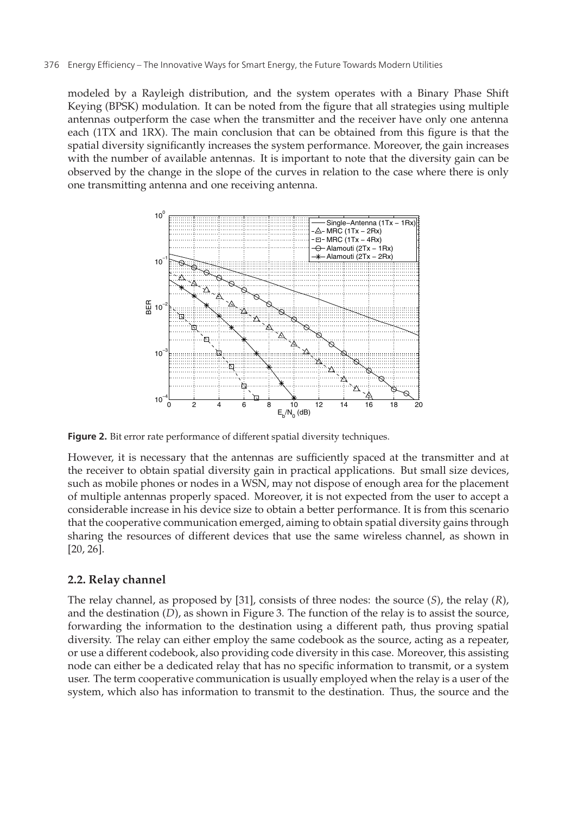modeled by a Rayleigh distribution, and the system operates with a Binary Phase Shift Keying (BPSK) modulation. It can be noted from the figure that all strategies using multiple antennas outperform the case when the transmitter and the receiver have only one antenna each (1TX and 1RX). The main conclusion that can be obtained from this figure is that the spatial diversity significantly increases the system performance. Moreover, the gain increases with the number of available antennas. It is important to note that the diversity gain can be observed by the change in the slope of the curves in relation to the case where there is only one transmitting antenna and one receiving antenna.



**Figure 2.** Bit error rate performance of different spatial diversity techniques.

However, it is necessary that the antennas are sufficiently spaced at the transmitter and at the receiver to obtain spatial diversity gain in practical applications. But small size devices, such as mobile phones or nodes in a WSN, may not dispose of enough area for the placement of multiple antennas properly spaced. Moreover, it is not expected from the user to accept a considerable increase in his device size to obtain a better performance. It is from this scenario that the cooperative communication emerged, aiming to obtain spatial diversity gains through sharing the resources of different devices that use the same wireless channel, as shown in [20, 26].

## **2.2. Relay channel**

The relay channel, as proposed by [31], consists of three nodes: the source (*S*), the relay (*R*), and the destination (*D*), as shown in Figure 3. The function of the relay is to assist the source, forwarding the information to the destination using a different path, thus proving spatial diversity. The relay can either employ the same codebook as the source, acting as a repeater, or use a different codebook, also providing code diversity in this case. Moreover, this assisting node can either be a dedicated relay that has no specific information to transmit, or a system user. The term cooperative communication is usually employed when the relay is a user of the system, which also has information to transmit to the destination. Thus, the source and the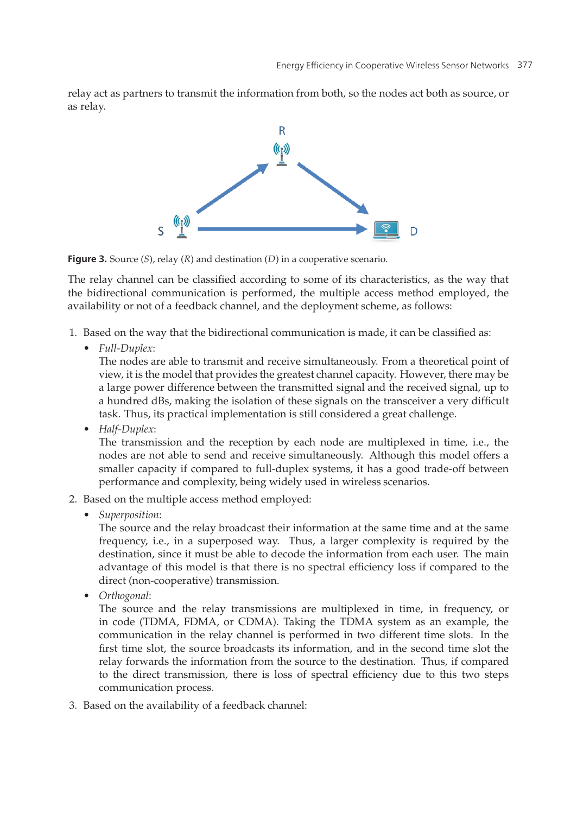relay act as partners to transmit the information from both, so the nodes act both as source, or as relay.



**Figure 3.** Source (*S*), relay (*R*) and destination (*D*) in a cooperative scenario.

The relay channel can be classified according to some of its characteristics, as the way that the bidirectional communication is performed, the multiple access method employed, the availability or not of a feedback channel, and the deployment scheme, as follows:

- 1. Based on the way that the bidirectional communication is made, it can be classified as:
	- *Full-Duplex*:

The nodes are able to transmit and receive simultaneously. From a theoretical point of view, it is the model that provides the greatest channel capacity. However, there may be a large power difference between the transmitted signal and the received signal, up to a hundred dBs, making the isolation of these signals on the transceiver a very difficult task. Thus, its practical implementation is still considered a great challenge.

• *Half-Duplex*:

The transmission and the reception by each node are multiplexed in time, i.e., the nodes are not able to send and receive simultaneously. Although this model offers a smaller capacity if compared to full-duplex systems, it has a good trade-off between performance and complexity, being widely used in wireless scenarios.

- 2. Based on the multiple access method employed:
	- *Superposition*:

The source and the relay broadcast their information at the same time and at the same frequency, i.e., in a superposed way. Thus, a larger complexity is required by the destination, since it must be able to decode the information from each user. The main advantage of this model is that there is no spectral efficiency loss if compared to the direct (non-cooperative) transmission.

• *Orthogonal*:

The source and the relay transmissions are multiplexed in time, in frequency, or in code (TDMA, FDMA, or CDMA). Taking the TDMA system as an example, the communication in the relay channel is performed in two different time slots. In the first time slot, the source broadcasts its information, and in the second time slot the relay forwards the information from the source to the destination. Thus, if compared to the direct transmission, there is loss of spectral efficiency due to this two steps communication process.

3. Based on the availability of a feedback channel: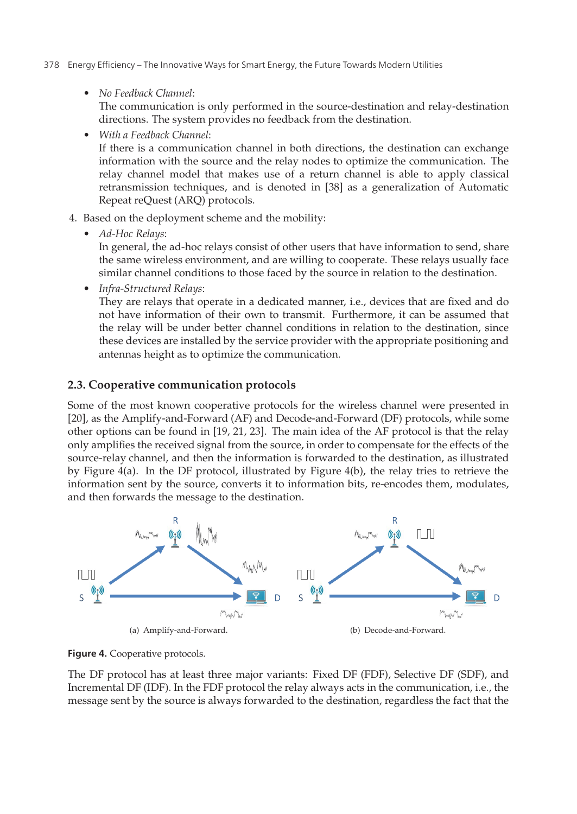- 378 Energy Efficiency The Innovative Ways for Smart Energy, the Future Towards Modern Utilities
	- *No Feedback Channel*:

The communication is only performed in the source-destination and relay-destination directions. The system provides no feedback from the destination.

• *With a Feedback Channel*:

If there is a communication channel in both directions, the destination can exchange information with the source and the relay nodes to optimize the communication. The relay channel model that makes use of a return channel is able to apply classical retransmission techniques, and is denoted in [38] as a generalization of Automatic Repeat reQuest (ARQ) protocols.

- 4. Based on the deployment scheme and the mobility:
	- *Ad-Hoc Relays*:

In general, the ad-hoc relays consist of other users that have information to send, share the same wireless environment, and are willing to cooperate. These relays usually face similar channel conditions to those faced by the source in relation to the destination.

• *Infra-Structured Relays*:

They are relays that operate in a dedicated manner, i.e., devices that are fixed and do not have information of their own to transmit. Furthermore, it can be assumed that the relay will be under better channel conditions in relation to the destination, since these devices are installed by the service provider with the appropriate positioning and antennas height as to optimize the communication.

## **2.3. Cooperative communication protocols**

Some of the most known cooperative protocols for the wireless channel were presented in [20], as the Amplify-and-Forward (AF) and Decode-and-Forward (DF) protocols, while some other options can be found in [19, 21, 23]. The main idea of the AF protocol is that the relay only amplifies the received signal from the source, in order to compensate for the effects of the source-relay channel, and then the information is forwarded to the destination, as illustrated by Figure  $4(a)$ . In the DF protocol, illustrated by Figure  $4(b)$ , the relay tries to retrieve the information sent by the source, converts it to information bits, re-encodes them, modulates, and then forwards the message to the destination.



**Figure 4.** Cooperative protocols.

The DF protocol has at least three major variants: Fixed DF (FDF), Selective DF (SDF), and Incremental DF (IDF). In the FDF protocol the relay always acts in the communication, i.e., the message sent by the source is always forwarded to the destination, regardless the fact that the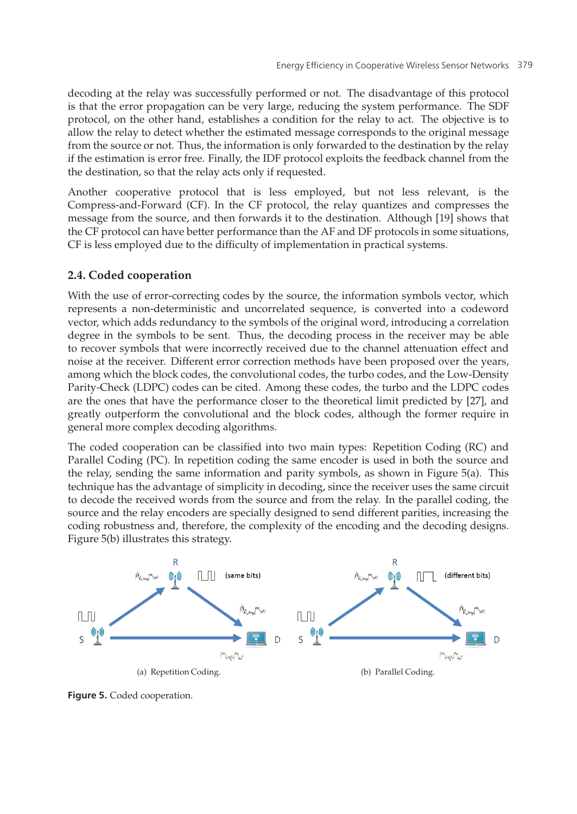decoding at the relay was successfully performed or not. The disadvantage of this protocol is that the error propagation can be very large, reducing the system performance. The SDF protocol, on the other hand, establishes a condition for the relay to act. The objective is to allow the relay to detect whether the estimated message corresponds to the original message from the source or not. Thus, the information is only forwarded to the destination by the relay if the estimation is error free. Finally, the IDF protocol exploits the feedback channel from the the destination, so that the relay acts only if requested.

Another cooperative protocol that is less employed, but not less relevant, is the Compress-and-Forward (CF). In the CF protocol, the relay quantizes and compresses the message from the source, and then forwards it to the destination. Although [19] shows that the CF protocol can have better performance than the AF and DF protocols in some situations, CF is less employed due to the difficulty of implementation in practical systems.

## **2.4. Coded cooperation**

With the use of error-correcting codes by the source, the information symbols vector, which represents a non-deterministic and uncorrelated sequence, is converted into a codeword vector, which adds redundancy to the symbols of the original word, introducing a correlation degree in the symbols to be sent. Thus, the decoding process in the receiver may be able to recover symbols that were incorrectly received due to the channel attenuation effect and noise at the receiver. Different error correction methods have been proposed over the years, among which the block codes, the convolutional codes, the turbo codes, and the Low-Density Parity-Check (LDPC) codes can be cited. Among these codes, the turbo and the LDPC codes are the ones that have the performance closer to the theoretical limit predicted by [27], and greatly outperform the convolutional and the block codes, although the former require in general more complex decoding algorithms.

The coded cooperation can be classified into two main types: Repetition Coding (RC) and Parallel Coding (PC). In repetition coding the same encoder is used in both the source and the relay, sending the same information and parity symbols, as shown in Figure 5(a). This technique has the advantage of simplicity in decoding, since the receiver uses the same circuit to decode the received words from the source and from the relay. In the parallel coding, the source and the relay encoders are specially designed to send different parities, increasing the coding robustness and, therefore, the complexity of the encoding and the decoding designs. Figure 5(b) illustrates this strategy.



**Figure 5.** Coded cooperation.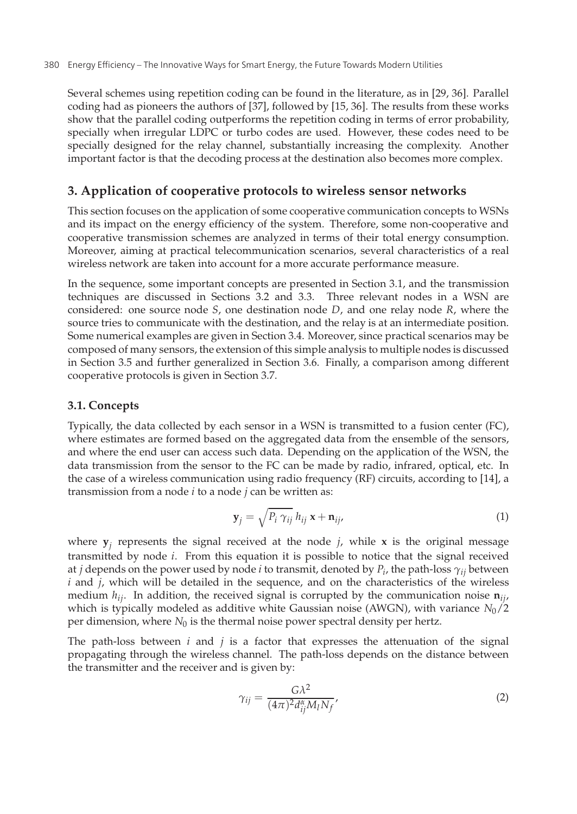Several schemes using repetition coding can be found in the literature, as in [29, 36]. Parallel coding had as pioneers the authors of [37], followed by [15, 36]. The results from these works show that the parallel coding outperforms the repetition coding in terms of error probability, specially when irregular LDPC or turbo codes are used. However, these codes need to be specially designed for the relay channel, substantially increasing the complexity. Another important factor is that the decoding process at the destination also becomes more complex.

## **3. Application of cooperative protocols to wireless sensor networks**

This section focuses on the application of some cooperative communication concepts to WSNs and its impact on the energy efficiency of the system. Therefore, some non-cooperative and cooperative transmission schemes are analyzed in terms of their total energy consumption. Moreover, aiming at practical telecommunication scenarios, several characteristics of a real wireless network are taken into account for a more accurate performance measure.

In the sequence, some important concepts are presented in Section 3.1, and the transmission techniques are discussed in Sections 3.2 and 3.3. Three relevant nodes in a WSN are considered: one source node *S*, one destination node *D*, and one relay node *R*, where the source tries to communicate with the destination, and the relay is at an intermediate position. Some numerical examples are given in Section 3.4. Moreover, since practical scenarios may be composed of many sensors, the extension of this simple analysis to multiple nodes is discussed in Section 3.5 and further generalized in Section 3.6. Finally, a comparison among different cooperative protocols is given in Section 3.7.

#### **3.1. Concepts**

Typically, the data collected by each sensor in a WSN is transmitted to a fusion center (FC), where estimates are formed based on the aggregated data from the ensemble of the sensors, and where the end user can access such data. Depending on the application of the WSN, the data transmission from the sensor to the FC can be made by radio, infrared, optical, etc. In the case of a wireless communication using radio frequency (RF) circuits, according to [14], a transmission from a node *i* to a node *j* can be written as:

$$
\mathbf{y}_{j} = \sqrt{P_{i} \gamma_{ij}} h_{ij} \mathbf{x} + \mathbf{n}_{ij}, \qquad (1)
$$

where  $y_i$  represents the signal received at the node *j*, while **x** is the original message transmitted by node *i*. From this equation it is possible to notice that the signal received at *j* depends on the power used by node *i* to transmit, denoted by  $P_i$ , the path-loss  $\gamma_{ij}$  between *i* and *j*, which will be detailed in the sequence, and on the characteristics of the wireless medium  $h_{ij}$ . In addition, the received signal is corrupted by the communication noise  $\mathbf{n}_{ij}$ , which is typically modeled as additive white Gaussian noise (AWGN), with variance  $N_0/2$ per dimension, where  $N_0$  is the thermal noise power spectral density per hertz.

The path-loss between  $i$  and  $j$  is a factor that expresses the attenuation of the signal propagating through the wireless channel. The path-loss depends on the distance between the transmitter and the receiver and is given by:

$$
\gamma_{ij} = \frac{G\lambda^2}{(4\pi)^2 d_{ij}^{\alpha} M_l N_f},\tag{2}
$$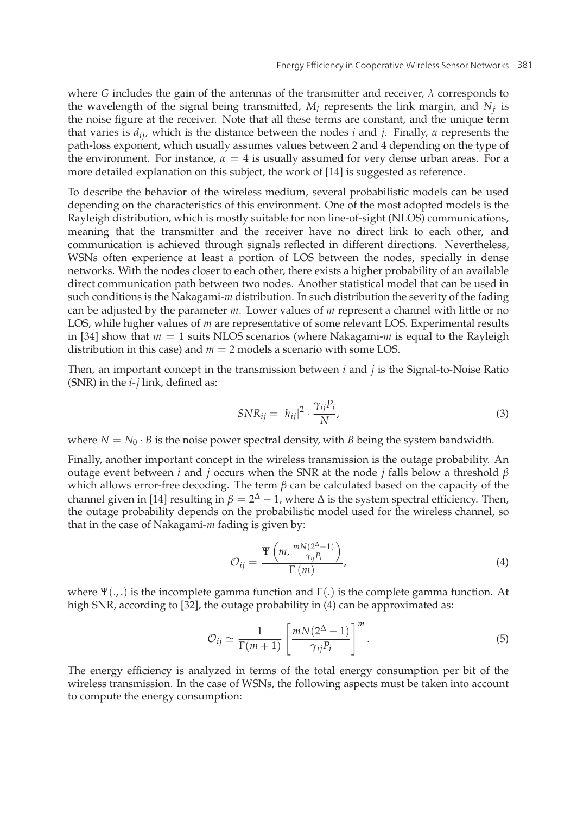where *G* includes the gain of the antennas of the transmitter and receiver,  $\lambda$  corresponds to the wavelength of the signal being transmitted,  $M_l$  represents the link margin, and  $N_f$  is the noise figure at the receiver. Note that all these terms are constant, and the unique term that varies is *dij*, which is the distance between the nodes *i* and *j*. Finally, *α* represents the path-loss exponent, which usually assumes values between 2 and 4 depending on the type of the environment. For instance,  $\alpha = 4$  is usually assumed for very dense urban areas. For a more detailed explanation on this subject, the work of [14] is suggested as reference.

To describe the behavior of the wireless medium, several probabilistic models can be used depending on the characteristics of this environment. One of the most adopted models is the Rayleigh distribution, which is mostly suitable for non line-of-sight (NLOS) communications, meaning that the transmitter and the receiver have no direct link to each other, and communication is achieved through signals reflected in different directions. Nevertheless, WSNs often experience at least a portion of LOS between the nodes, specially in dense networks. With the nodes closer to each other, there exists a higher probability of an available direct communication path between two nodes. Another statistical model that can be used in such conditions is the Nakagami-*m* distribution. In such distribution the severity of the fading can be adjusted by the parameter *m*. Lower values of *m* represent a channel with little or no LOS, while higher values of *m* are representative of some relevant LOS. Experimental results in [34] show that *m* = 1 suits NLOS scenarios (where Nakagami-*m* is equal to the Rayleigh distribution in this case) and  $m = 2$  models a scenario with some LOS.

Then, an important concept in the transmission between *i* and *j* is the Signal-to-Noise Ratio (SNR) in the *i*-*j* link, defined as:

$$
SNR_{ij} = |h_{ij}|^2 \cdot \frac{\gamma_{ij} P_i}{N},\tag{3}
$$

where  $N = N_0 \cdot B$  is the noise power spectral density, with *B* being the system bandwidth.

Finally, another important concept in the wireless transmission is the outage probability. An outage event between *i* and *j* occurs when the SNR at the node *j* falls below a threshold *β* which allows error-free decoding. The term *β* can be calculated based on the capacity of the channel given in [14] resulting in  $\beta = 2^{\Delta} - 1$ , where  $\Delta$  is the system spectral efficiency. Then, the outage probability depends on the probabilistic model used for the wireless channel, so that in the case of Nakagami-*m* fading is given by:

$$
O_{ij} = \frac{\Psi\left(m, \frac{mN(2^{\Delta}-1)}{\gamma_{ij}P_i}\right)}{\Gamma\left(m\right)},\tag{4}
$$

where  $\Psi(\cdot, \cdot)$  is the incomplete gamma function and  $\Gamma(\cdot)$  is the complete gamma function. At high SNR, according to [32], the outage probability in (4) can be approximated as:

$$
\mathcal{O}_{ij} \simeq \frac{1}{\Gamma(m+1)} \left[ \frac{mN(2^{\Delta}-1)}{\gamma_{ij} P_i} \right]^m.
$$
 (5)

The energy efficiency is analyzed in terms of the total energy consumption per bit of the wireless transmission. In the case of WSNs, the following aspects must be taken into account to compute the energy consumption: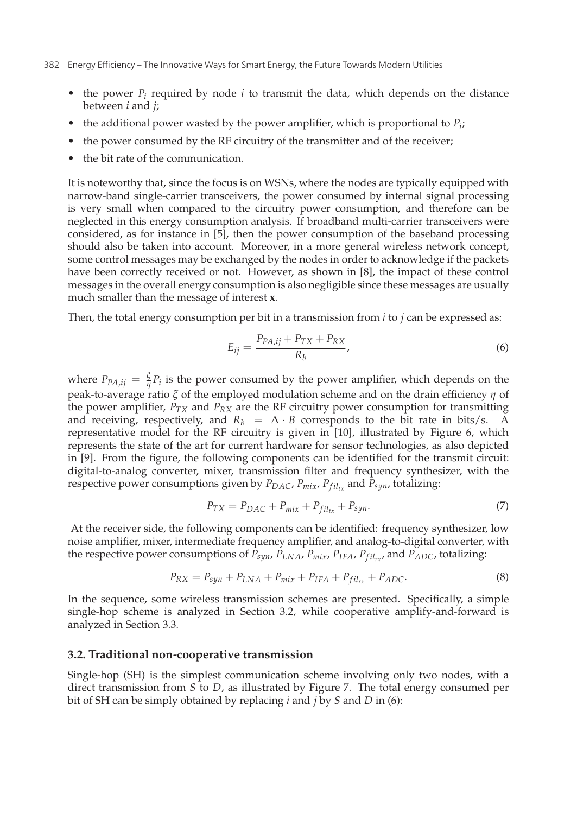- the power  $P_i$  required by node  $i$  to transmit the data, which depends on the distance between *i* and *j*;
- the additional power wasted by the power amplifier, which is proportional to  $P_i$ ;
- the power consumed by the RF circuitry of the transmitter and of the receiver;
- the bit rate of the communication.

It is noteworthy that, since the focus is on WSNs, where the nodes are typically equipped with narrow-band single-carrier transceivers, the power consumed by internal signal processing is very small when compared to the circuitry power consumption, and therefore can be neglected in this energy consumption analysis. If broadband multi-carrier transceivers were considered, as for instance in [5], then the power consumption of the baseband processing should also be taken into account. Moreover, in a more general wireless network concept, some control messages may be exchanged by the nodes in order to acknowledge if the packets have been correctly received or not. However, as shown in [8], the impact of these control messages in the overall energy consumption is also negligible since these messages are usually much smaller than the message of interest **x**.

Then, the total energy consumption per bit in a transmission from *i* to *j* can be expressed as:

$$
E_{ij} = \frac{P_{PA,ij} + P_{TX} + P_{RX}}{R_b},\tag{6}
$$

where  $P_{PA,ij} = \frac{\xi}{\eta} P_i$  is the power consumed by the power amplifier, which depends on the peak-to-average ratio *ξ* of the employed modulation scheme and on the drain efficiency *η* of the power amplifier,  $P_{TX}$  and  $P_{RX}$  are the RF circuitry power consumption for transmitting and receiving, respectively, and  $R_b = \Delta \cdot B$  corresponds to the bit rate in bits/s. A representative model for the RF circuitry is given in [10], illustrated by Figure 6, which represents the state of the art for current hardware for sensor technologies, as also depicted in [9]. From the figure, the following components can be identified for the transmit circuit: digital-to-analog converter, mixer, transmission filter and frequency synthesizer, with the respective power consumptions given by  $P_{DAC}$ ,  $P_{mix}$ ,  $P_{fill}$  and  $P_{syn}$ , totalizing:

$$
P_{TX} = P_{DAC} + P_{mix} + P_{fill} + P_{syn}.
$$
\n<sup>(7)</sup>

At the receiver side, the following components can be identified: frequency synthesizer, low noise amplifier, mixer, intermediate frequency amplifier, and analog-to-digital converter, with the respective power consumptions of  $\bar{P}_{syn}$ ,  $\bar{P}_{LNA}$ ,  $P_{mix}$ ,  $P_{IFA}$ ,  $P_{fill}_{r}$  and  $\bar{P}_{ADC}$ , totalizing:

$$
P_{RX} = P_{syn} + P_{LNA} + P_{mix} + P_{IFA} + P_{fil_{rx}} + P_{ADC}.
$$
\n(8)

In the sequence, some wireless transmission schemes are presented. Specifically, a simple single-hop scheme is analyzed in Section 3.2, while cooperative amplify-and-forward is analyzed in Section 3.3.

#### **3.2. Traditional non-cooperative transmission**

Single-hop (SH) is the simplest communication scheme involving only two nodes, with a direct transmission from *S* to *D*, as illustrated by Figure 7. The total energy consumed per bit of SH can be simply obtained by replacing *i* and *j* by *S* and *D* in (6):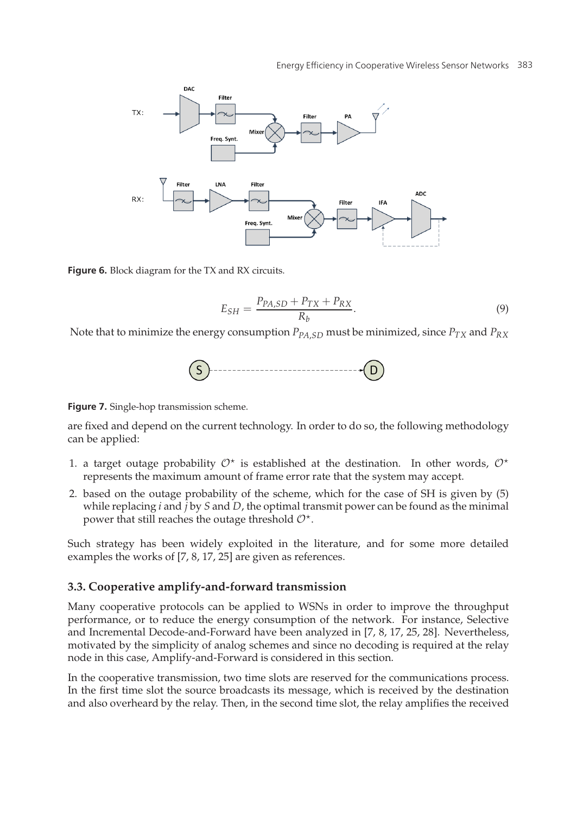

**Figure 6.** Block diagram for the TX and RX circuits.

$$
E_{SH} = \frac{P_{PA,SD} + P_{TX} + P_{RX}}{R_b}.\tag{9}
$$

Note that to minimize the energy consumption  $P_{P A, SD}$  must be minimized, since  $P_{TX}$  and  $P_{RX}$ 



**Figure 7.** Single-hop transmission scheme.

are fixed and depend on the current technology. In order to do so, the following methodology can be applied:

- 1. a target outage probability  $\mathcal{O}^*$  is established at the destination. In other words,  $\mathcal{O}^*$ represents the maximum amount of frame error rate that the system may accept.
- 2. based on the outage probability of the scheme, which for the case of SH is given by (5) while replacing *i* and *j* by *S* and *D*, the optimal transmit power can be found as the minimal power that still reaches the outage threshold  $\mathcal{O}^*$ .

Such strategy has been widely exploited in the literature, and for some more detailed examples the works of [7, 8, 17, 25] are given as references.

#### **3.3. Cooperative amplify-and-forward transmission**

Many cooperative protocols can be applied to WSNs in order to improve the throughput performance, or to reduce the energy consumption of the network. For instance, Selective and Incremental Decode-and-Forward have been analyzed in [7, 8, 17, 25, 28]. Nevertheless, motivated by the simplicity of analog schemes and since no decoding is required at the relay node in this case, Amplify-and-Forward is considered in this section.

In the cooperative transmission, two time slots are reserved for the communications process. In the first time slot the source broadcasts its message, which is received by the destination and also overheard by the relay. Then, in the second time slot, the relay amplifies the received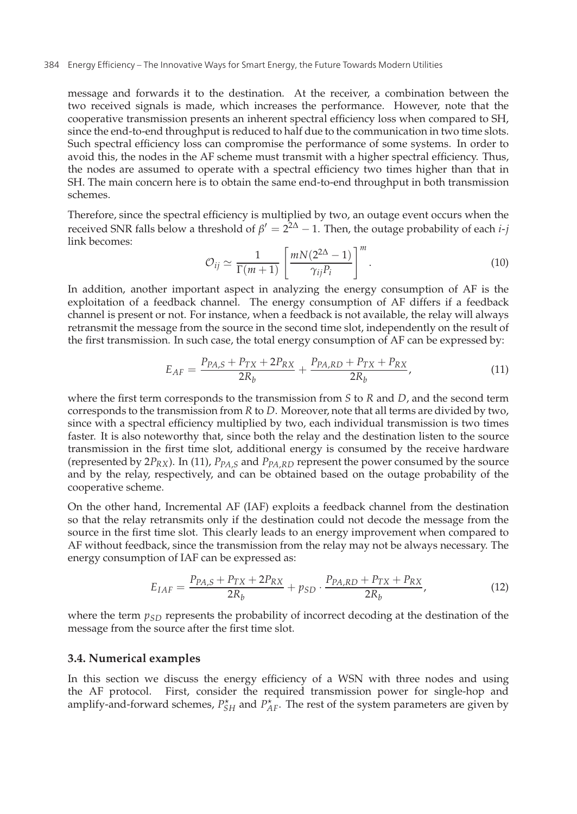message and forwards it to the destination. At the receiver, a combination between the two received signals is made, which increases the performance. However, note that the cooperative transmission presents an inherent spectral efficiency loss when compared to SH, since the end-to-end throughput is reduced to half due to the communication in two time slots. Such spectral efficiency loss can compromise the performance of some systems. In order to avoid this, the nodes in the AF scheme must transmit with a higher spectral efficiency. Thus, the nodes are assumed to operate with a spectral efficiency two times higher than that in SH. The main concern here is to obtain the same end-to-end throughput in both transmission schemes.

Therefore, since the spectral efficiency is multiplied by two, an outage event occurs when the received SNR falls below a threshold of  $\beta' = 2^{2\Delta} - 1$ . Then, the outage probability of each *i*-*j* link becomes:

$$
\mathcal{O}_{ij} \simeq \frac{1}{\Gamma(m+1)} \left[ \frac{mN(2^{2\Delta} - 1)}{\gamma_{ij} P_i} \right]^m.
$$
 (10)

In addition, another important aspect in analyzing the energy consumption of AF is the exploitation of a feedback channel. The energy consumption of AF differs if a feedback channel is present or not. For instance, when a feedback is not available, the relay will always retransmit the message from the source in the second time slot, independently on the result of the first transmission. In such case, the total energy consumption of AF can be expressed by:

$$
E_{AF} = \frac{P_{PA,S} + P_{TX} + 2P_{RX}}{2R_b} + \frac{P_{PA,RD} + P_{TX} + P_{RX}}{2R_b},
$$
\n(11)

where the first term corresponds to the transmission from *S* to *R* and *D*, and the second term corresponds to the transmission from *R* to *D*. Moreover, note that all terms are divided by two, since with a spectral efficiency multiplied by two, each individual transmission is two times faster. It is also noteworthy that, since both the relay and the destination listen to the source transmission in the first time slot, additional energy is consumed by the receive hardware (represented by  $2P_{RX}$ ). In (11),  $P_{PA,S}$  and  $P_{PA,RD}$  represent the power consumed by the source and by the relay, respectively, and can be obtained based on the outage probability of the cooperative scheme.

On the other hand, Incremental AF (IAF) exploits a feedback channel from the destination so that the relay retransmits only if the destination could not decode the message from the source in the first time slot. This clearly leads to an energy improvement when compared to AF without feedback, since the transmission from the relay may not be always necessary. The energy consumption of IAF can be expressed as:

$$
E_{IAF} = \frac{P_{PA,S} + P_{TX} + 2P_{RX}}{2R_b} + p_{SD} \cdot \frac{P_{PA,RD} + P_{TX} + P_{RX}}{2R_b},
$$
(12)

where the term  $p_{SD}$  represents the probability of incorrect decoding at the destination of the message from the source after the first time slot.

#### **3.4. Numerical examples**

In this section we discuss the energy efficiency of a WSN with three nodes and using the AF protocol. First, consider the required transmission power for single-hop and amplify-and-forward schemes,  $P_{SH}^{\star}$  and  $P_{AF}^{\star}$ . The rest of the system parameters are given by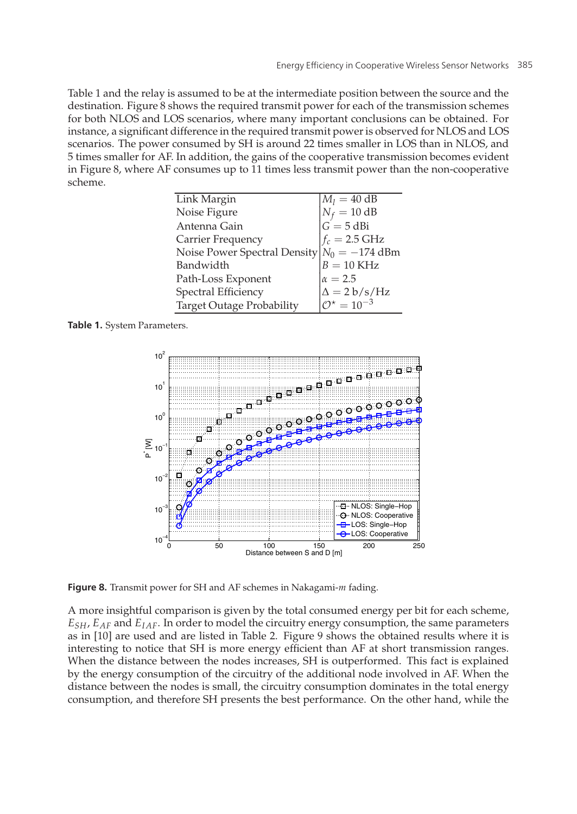Table 1 and the relay is assumed to be at the intermediate position between the source and the destination. Figure 8 shows the required transmit power for each of the transmission schemes for both NLOS and LOS scenarios, where many important conclusions can be obtained. For instance, a significant difference in the required transmit power is observed for NLOS and LOS scenarios. The power consumed by SH is around 22 times smaller in LOS than in NLOS, and 5 times smaller for AF. In addition, the gains of the cooperative transmission becomes evident in Figure 8, where AF consumes up to 11 times less transmit power than the non-cooperative scheme.

| Link Margin                                   | $M_l = 40$ dB                                                                                          |
|-----------------------------------------------|--------------------------------------------------------------------------------------------------------|
| Noise Figure                                  | $N_f = 10$ dB                                                                                          |
| Antenna Gain                                  | $\overline{G} = 5$ dBi                                                                                 |
| Carrier Frequency                             | $f_c = 2.5$ GHz                                                                                        |
| Noise Power Spectral Density $N_0 = -174$ dBm |                                                                                                        |
| Bandwidth                                     | $B=10~\mathrm{KHz}$                                                                                    |
| Path-Loss Exponent                            | $\alpha=2.5$                                                                                           |
| Spectral Efficiency                           | $\begin{cases}\n\Delta = 2 \frac{\text{b}}{\text{s}}/Hz \\ \mathcal{O}^{\star} = 10^{-3}\n\end{cases}$ |
| <b>Target Outage Probability</b>              |                                                                                                        |
|                                               |                                                                                                        |

**Table 1.** System Parameters.



**Figure 8.** Transmit power for SH and AF schemes in Nakagami-*<sup>m</sup>* fading.

A more insightful comparison is given by the total consumed energy per bit for each scheme, *ESH*, *EAF* and *EIAF*. In order to model the circuitry energy consumption, the same parameters as in [10] are used and are listed in Table 2. Figure 9 shows the obtained results where it is interesting to notice that SH is more energy efficient than AF at short transmission ranges. When the distance between the nodes increases, SH is outperformed. This fact is explained by the energy consumption of the circuitry of the additional node involved in AF. When the distance between the nodes is small, the circuitry consumption dominates in the total energy consumption, and therefore SH presents the best performance. On the other hand, while the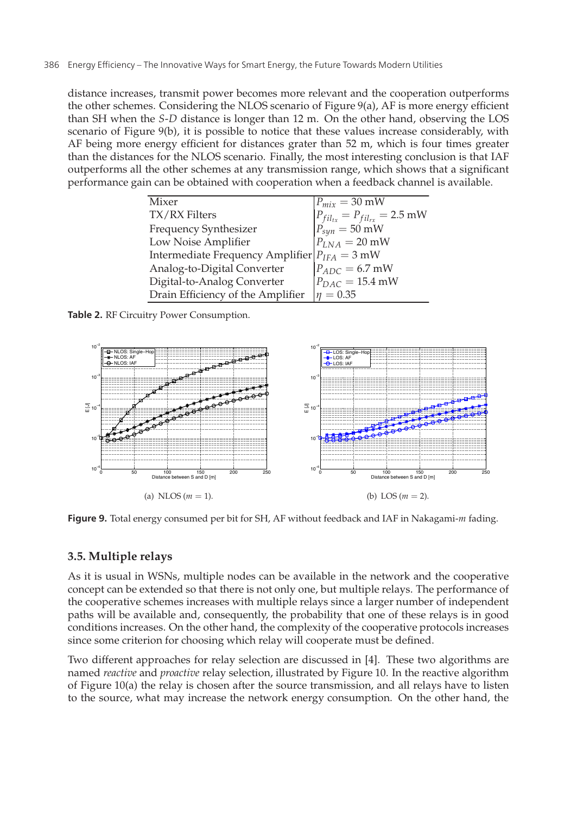distance increases, transmit power becomes more relevant and the cooperation outperforms the other schemes. Considering the NLOS scenario of Figure 9(a), AF is more energy efficient than SH when the *S*-*D* distance is longer than 12 m. On the other hand, observing the LOS scenario of Figure 9(b), it is possible to notice that these values increase considerably, with AF being more energy efficient for distances grater than 52 m, which is four times greater than the distances for the NLOS scenario. Finally, the most interesting conclusion is that IAF outperforms all the other schemes at any transmission range, which shows that a significant performance gain can be obtained with cooperation when a feedback channel is available.

| Mixer                                             | $P_{mix} = 30$ mW                                                                                     |
|---------------------------------------------------|-------------------------------------------------------------------------------------------------------|
| TX/RX Filters                                     | $\begin{cases} P_{fill_{tx}} = P_{fill_{rx}} = 2.5 \text{ mW} \\ P_{syn} = 50 \text{ mW} \end{cases}$ |
| Frequency Synthesizer                             |                                                                                                       |
| Low Noise Amplifier                               | $P_{LNA} = 20$ mW                                                                                     |
| Intermediate Frequency Amplifier $P_{IFA} = 3$ mW |                                                                                                       |
| Analog-to-Digital Converter                       |                                                                                                       |
| Digital-to-Analog Converter                       | $P_{ADC} = 6.7$ mW<br>$P_{DAC} = 15.4$ mW                                                             |
| Drain Efficiency of the Amplifier                 | $\eta = 0.35$                                                                                         |

**Table 2.** RF Circuitry Power Consumption.



**Figure 9.** Total energy consumed per bit for SH, AF without feedback and IAF in Nakagami-*<sup>m</sup>* fading.

### **3.5. Multiple relays**

As it is usual in WSNs, multiple nodes can be available in the network and the cooperative concept can be extended so that there is not only one, but multiple relays. The performance of the cooperative schemes increases with multiple relays since a larger number of independent paths will be available and, consequently, the probability that one of these relays is in good conditions increases. On the other hand, the complexity of the cooperative protocols increases since some criterion for choosing which relay will cooperate must be defined.

Two different approaches for relay selection are discussed in [4]. These two algorithms are named *reactive* and *proactive* relay selection, illustrated by Figure 10. In the reactive algorithm of Figure 10(a) the relay is chosen after the source transmission, and all relays have to listen to the source, what may increase the network energy consumption. On the other hand, the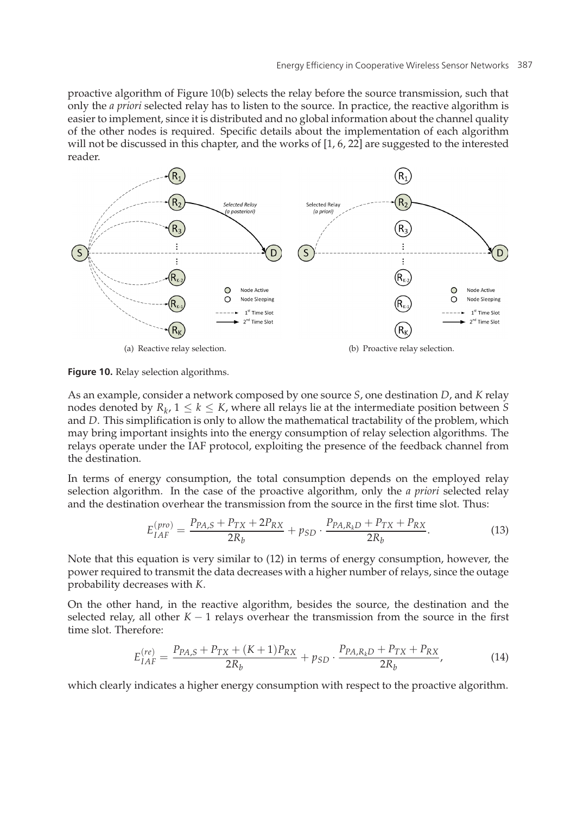proactive algorithm of Figure 10(b) selects the relay before the source transmission, such that only the *a priori* selected relay has to listen to the source. In practice, the reactive algorithm is easier to implement, since it is distributed and no global information about the channel quality of the other nodes is required. Specific details about the implementation of each algorithm will not be discussed in this chapter, and the works of [1, 6, 22] are suggested to the interested reader.



**Figure 10.** Relay selection algorithms.

As an example, consider a network composed by one source *S*, one destination *D*, and *K* relay nodes denoted by  $R_k$ ,  $1 \leq k \leq K$ , where all relays lie at the intermediate position between *S* and *D*. This simplification is only to allow the mathematical tractability of the problem, which may bring important insights into the energy consumption of relay selection algorithms. The relays operate under the IAF protocol, exploiting the presence of the feedback channel from the destination.

In terms of energy consumption, the total consumption depends on the employed relay selection algorithm. In the case of the proactive algorithm, only the *a priori* selected relay and the destination overhear the transmission from the source in the first time slot. Thus:

$$
E_{IAF}^{(pro)} = \frac{P_{PA,S} + P_{TX} + 2P_{RX}}{2R_b} + p_{SD} \cdot \frac{P_{PA,R_kD} + P_{TX} + P_{RX}}{2R_b}.
$$
 (13)

Note that this equation is very similar to (12) in terms of energy consumption, however, the power required to transmit the data decreases with a higher number of relays, since the outage probability decreases with *K*.

On the other hand, in the reactive algorithm, besides the source, the destination and the selected relay, all other  $K - 1$  relays overhear the transmission from the source in the first time slot. Therefore:

$$
E_{IAF}^{(re)} = \frac{P_{PA,S} + P_{TX} + (K+1)P_{RX}}{2R_b} + p_{SD} \cdot \frac{P_{PA,R_kD} + P_{TX} + P_{RX}}{2R_b},
$$
(14)

which clearly indicates a higher energy consumption with respect to the proactive algorithm.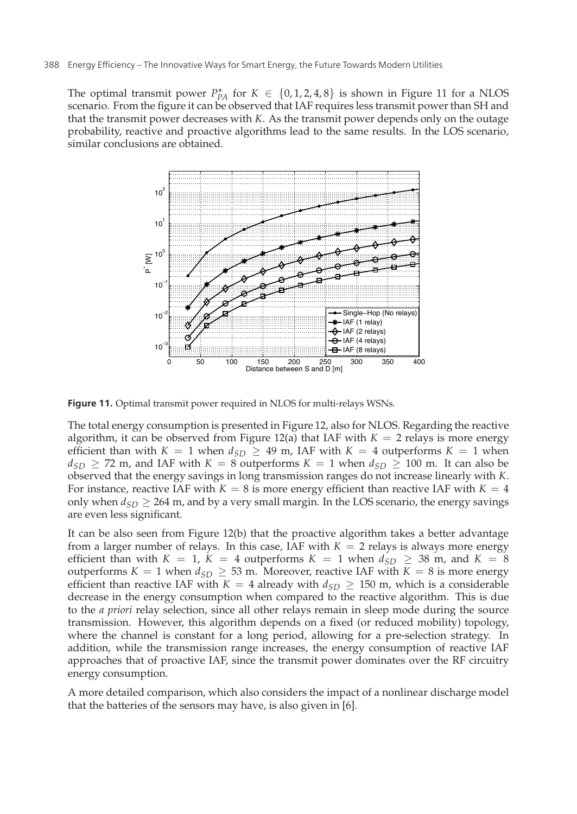The optimal transmit power  $P_{PA}^{\star}$  for  $K \in \{0, 1, 2, 4, 8\}$  is shown in Figure 11 for a NLOS scenario. From the figure it can be observed that IAF requires less transmit power than SH and that the transmit power decreases with *K*. As the transmit power depends only on the outage probability, reactive and proactive algorithms lead to the same results. In the LOS scenario, similar conclusions are obtained.



**Figure 11.** Optimal transmit power required in NLOS for multi-relays WSNs.

The total energy consumption is presented in Figure 12, also for NLOS. Regarding the reactive algorithm, it can be observed from Figure 12(a) that IAF with  $K = 2$  relays is more energy efficient than with  $K = 1$  when  $d_{SD} \geq 49$  m, IAF with  $K = 4$  outperforms  $K = 1$  when  $d_{SD} \ge 72$  m, and IAF with  $K = 8$  outperforms  $K = 1$  when  $d_{SD} \ge 100$  m. It can also be observed that the energy savings in long transmission ranges do not increase linearly with *K*. For instance, reactive IAF with  $K = 8$  is more energy efficient than reactive IAF with  $K = 4$ only when  $d_{SD}$   $>$  264 m, and by a very small margin. In the LOS scenario, the energy savings are even less significant.

It can be also seen from Figure 12(b) that the proactive algorithm takes a better advantage from a larger number of relays. In this case, IAF with  $K = 2$  relays is always more energy efficient than with  $K = 1$ ,  $K = 4$  outperforms  $K = 1$  when  $d_{SD} \geq 38$  m, and  $K = 8$ outperforms  $K = 1$  when  $d_{SD} \geq 53$  m. Moreover, reactive IAF with  $K = 8$  is more energy efficient than reactive IAF with  $K = 4$  already with  $d_{SD} \ge 150$  m, which is a considerable decrease in the energy consumption when compared to the reactive algorithm. This is due to the *a priori* relay selection, since all other relays remain in sleep mode during the source transmission. However, this algorithm depends on a fixed (or reduced mobility) topology, where the channel is constant for a long period, allowing for a pre-selection strategy. In addition, while the transmission range increases, the energy consumption of reactive IAF approaches that of proactive IAF, since the transmit power dominates over the RF circuitry energy consumption.

A more detailed comparison, which also considers the impact of a nonlinear discharge model that the batteries of the sensors may have, is also given in [6].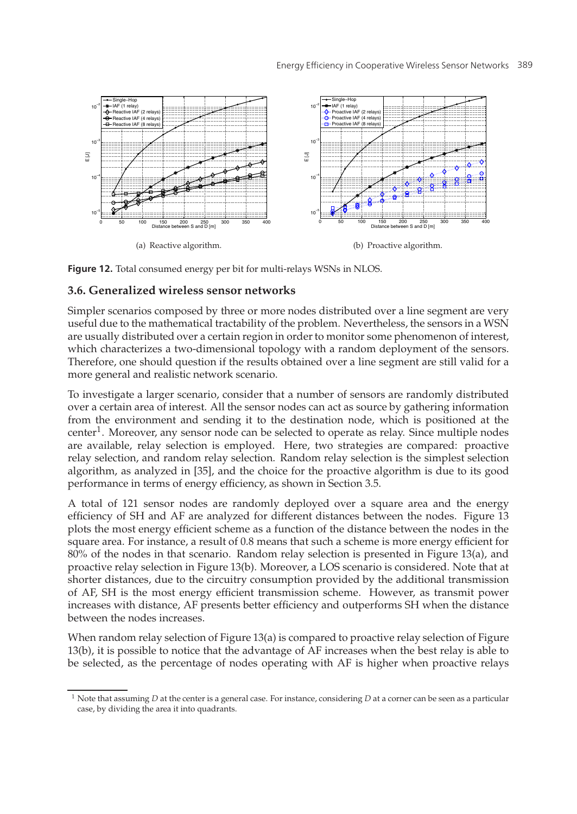

**Figure 12.** Total consumed energy per bit for multi-relays WSNs in NLOS.

## **3.6. Generalized wireless sensor networks**

Simpler scenarios composed by three or more nodes distributed over a line segment are very useful due to the mathematical tractability of the problem. Nevertheless, the sensors in a WSN are usually distributed over a certain region in order to monitor some phenomenon of interest, which characterizes a two-dimensional topology with a random deployment of the sensors. Therefore, one should question if the results obtained over a line segment are still valid for a more general and realistic network scenario.

To investigate a larger scenario, consider that a number of sensors are randomly distributed over a certain area of interest. All the sensor nodes can act as source by gathering information from the environment and sending it to the destination node, which is positioned at the center1. Moreover, any sensor node can be selected to operate as relay. Since multiple nodes are available, relay selection is employed. Here, two strategies are compared: proactive relay selection, and random relay selection. Random relay selection is the simplest selection algorithm, as analyzed in [35], and the choice for the proactive algorithm is due to its good performance in terms of energy efficiency, as shown in Section 3.5.

A total of 121 sensor nodes are randomly deployed over a square area and the energy efficiency of SH and AF are analyzed for different distances between the nodes. Figure 13 plots the most energy efficient scheme as a function of the distance between the nodes in the square area. For instance, a result of 0.8 means that such a scheme is more energy efficient for 80% of the nodes in that scenario. Random relay selection is presented in Figure 13(a), and proactive relay selection in Figure 13(b). Moreover, a LOS scenario is considered. Note that at shorter distances, due to the circuitry consumption provided by the additional transmission of AF, SH is the most energy efficient transmission scheme. However, as transmit power increases with distance, AF presents better efficiency and outperforms SH when the distance between the nodes increases.

When random relay selection of Figure 13(a) is compared to proactive relay selection of Figure 13(b), it is possible to notice that the advantage of AF increases when the best relay is able to be selected, as the percentage of nodes operating with AF is higher when proactive relays

<sup>1</sup> Note that assuming *D* at the center is a general case. For instance, considering *D* at a corner can be seen as a particular case, by dividing the area it into quadrants.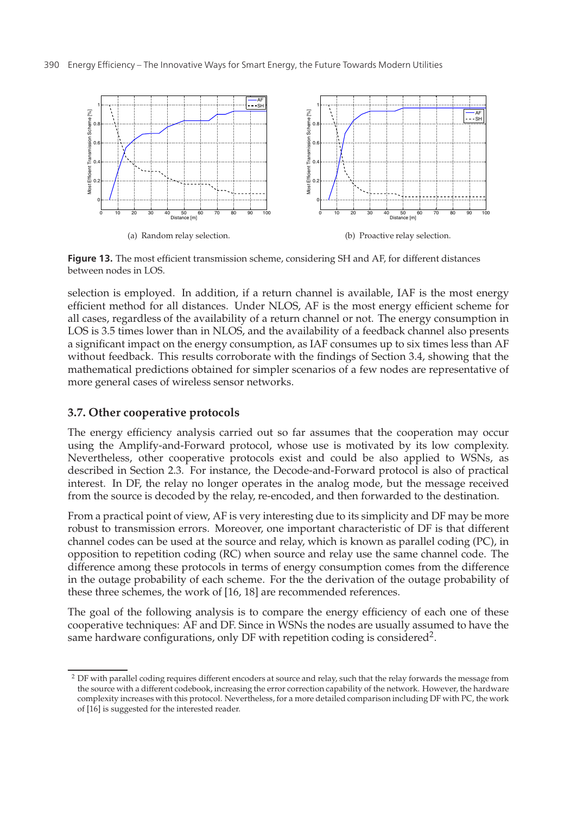

**Figure 13.** The most efficient transmission scheme, considering SH and AF, for different distances between nodes in LOS.

selection is employed. In addition, if a return channel is available, IAF is the most energy efficient method for all distances. Under NLOS, AF is the most energy efficient scheme for all cases, regardless of the availability of a return channel or not. The energy consumption in LOS is 3.5 times lower than in NLOS, and the availability of a feedback channel also presents a significant impact on the energy consumption, as IAF consumes up to six times less than AF without feedback. This results corroborate with the findings of Section 3.4, showing that the mathematical predictions obtained for simpler scenarios of a few nodes are representative of more general cases of wireless sensor networks.

## **3.7. Other cooperative protocols**

The energy efficiency analysis carried out so far assumes that the cooperation may occur using the Amplify-and-Forward protocol, whose use is motivated by its low complexity. Nevertheless, other cooperative protocols exist and could be also applied to WSNs, as described in Section 2.3. For instance, the Decode-and-Forward protocol is also of practical interest. In DF, the relay no longer operates in the analog mode, but the message received from the source is decoded by the relay, re-encoded, and then forwarded to the destination.

From a practical point of view, AF is very interesting due to its simplicity and DF may be more robust to transmission errors. Moreover, one important characteristic of DF is that different channel codes can be used at the source and relay, which is known as parallel coding (PC), in opposition to repetition coding (RC) when source and relay use the same channel code. The difference among these protocols in terms of energy consumption comes from the difference in the outage probability of each scheme. For the the derivation of the outage probability of these three schemes, the work of [16, 18] are recommended references.

The goal of the following analysis is to compare the energy efficiency of each one of these cooperative techniques: AF and DF. Since in WSNs the nodes are usually assumed to have the same hardware configurations, only DF with repetition coding is considered<sup>2</sup>.

<sup>&</sup>lt;sup>2</sup> DF with parallel coding requires different encoders at source and relay, such that the relay forwards the message from the source with a different codebook, increasing the error correction capability of the network. However, the hardware complexity increases with this protocol. Nevertheless, for a more detailed comparison including DF with PC, the work of [16] is suggested for the interested reader.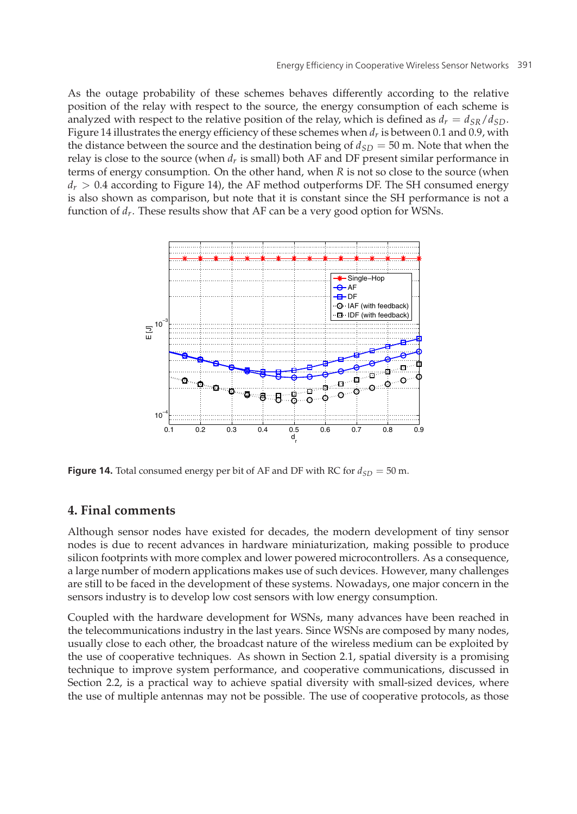As the outage probability of these schemes behaves differently according to the relative position of the relay with respect to the source, the energy consumption of each scheme is analyzed with respect to the relative position of the relay, which is defined as  $d_r = d_{SR}/d_{SD}$ . Figure 14 illustrates the energy efficiency of these schemes when *dr* is between 0.1 and 0.9, with the distance between the source and the destination being of  $d_{SD} = 50$  m. Note that when the relay is close to the source (when  $d_r$  is small) both AF and DF present similar performance in terms of energy consumption. On the other hand, when *R* is not so close to the source (when  $d<sub>r</sub> > 0.4$  according to Figure 14), the AF method outperforms DF. The SH consumed energy is also shown as comparison, but note that it is constant since the SH performance is not a function of  $d_r$ . These results show that AF can be a very good option for WSNs.



**Figure 14.** Total consumed energy per bit of AF and DF with RC for  $d_{SD} = 50$  m.

## **4. Final comments**

Although sensor nodes have existed for decades, the modern development of tiny sensor nodes is due to recent advances in hardware miniaturization, making possible to produce silicon footprints with more complex and lower powered microcontrollers. As a consequence, a large number of modern applications makes use of such devices. However, many challenges are still to be faced in the development of these systems. Nowadays, one major concern in the sensors industry is to develop low cost sensors with low energy consumption.

Coupled with the hardware development for WSNs, many advances have been reached in the telecommunications industry in the last years. Since WSNs are composed by many nodes, usually close to each other, the broadcast nature of the wireless medium can be exploited by the use of cooperative techniques. As shown in Section 2.1, spatial diversity is a promising technique to improve system performance, and cooperative communications, discussed in Section 2.2, is a practical way to achieve spatial diversity with small-sized devices, where the use of multiple antennas may not be possible. The use of cooperative protocols, as those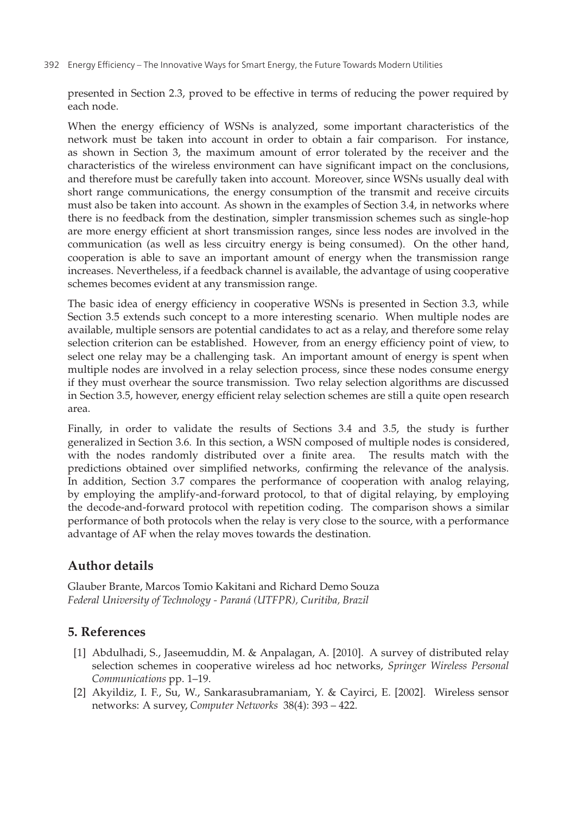presented in Section 2.3, proved to be effective in terms of reducing the power required by each node.

When the energy efficiency of WSNs is analyzed, some important characteristics of the network must be taken into account in order to obtain a fair comparison. For instance, as shown in Section 3, the maximum amount of error tolerated by the receiver and the characteristics of the wireless environment can have significant impact on the conclusions, and therefore must be carefully taken into account. Moreover, since WSNs usually deal with short range communications, the energy consumption of the transmit and receive circuits must also be taken into account. As shown in the examples of Section 3.4, in networks where there is no feedback from the destination, simpler transmission schemes such as single-hop are more energy efficient at short transmission ranges, since less nodes are involved in the communication (as well as less circuitry energy is being consumed). On the other hand, cooperation is able to save an important amount of energy when the transmission range increases. Nevertheless, if a feedback channel is available, the advantage of using cooperative schemes becomes evident at any transmission range.

The basic idea of energy efficiency in cooperative WSNs is presented in Section 3.3, while Section 3.5 extends such concept to a more interesting scenario. When multiple nodes are available, multiple sensors are potential candidates to act as a relay, and therefore some relay selection criterion can be established. However, from an energy efficiency point of view, to select one relay may be a challenging task. An important amount of energy is spent when multiple nodes are involved in a relay selection process, since these nodes consume energy if they must overhear the source transmission. Two relay selection algorithms are discussed in Section 3.5, however, energy efficient relay selection schemes are still a quite open research area.

Finally, in order to validate the results of Sections 3.4 and 3.5, the study is further generalized in Section 3.6. In this section, a WSN composed of multiple nodes is considered, with the nodes randomly distributed over a finite area. The results match with the predictions obtained over simplified networks, confirming the relevance of the analysis. In addition, Section 3.7 compares the performance of cooperation with analog relaying, by employing the amplify-and-forward protocol, to that of digital relaying, by employing the decode-and-forward protocol with repetition coding. The comparison shows a similar performance of both protocols when the relay is very close to the source, with a performance advantage of AF when the relay moves towards the destination.

# **Author details**

Glauber Brante, Marcos Tomio Kakitani and Richard Demo Souza *Federal University of Technology - Paraná (UTFPR), Curitiba, Brazil*

# **5. References**

- [1] Abdulhadi, S., Jaseemuddin, M. & Anpalagan, A. [2010]. A survey of distributed relay selection schemes in cooperative wireless ad hoc networks, *Springer Wireless Personal Communications* pp. 1–19.
- [2] Akyildiz, I. F., Su, W., Sankarasubramaniam, Y. & Cayirci, E. [2002]. Wireless sensor networks: A survey, *Computer Networks* 38(4): 393 – 422.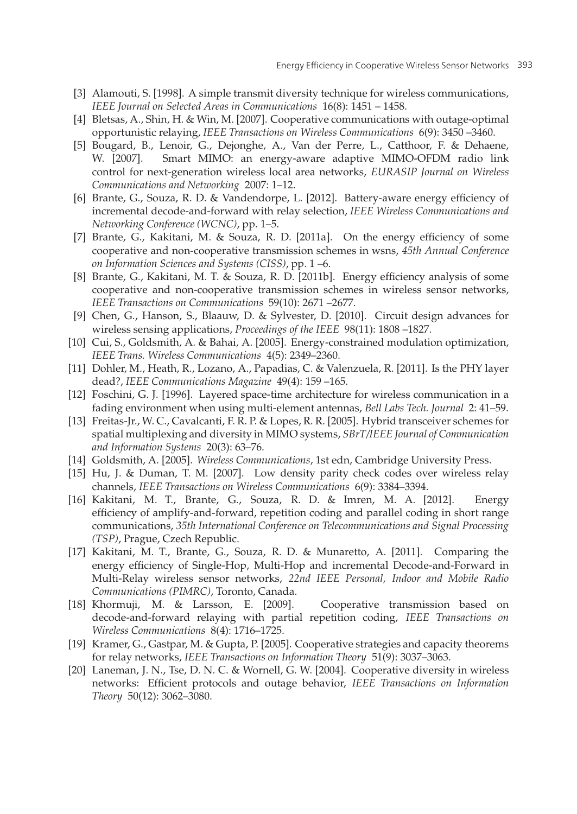- [3] Alamouti, S. [1998]. A simple transmit diversity technique for wireless communications, *IEEE Journal on Selected Areas in Communications* 16(8): 1451 – 1458.
- [4] Bletsas, A., Shin, H. & Win, M. [2007]. Cooperative communications with outage-optimal opportunistic relaying, *IEEE Transactions on Wireless Communications* 6(9): 3450 –3460.
- [5] Bougard, B., Lenoir, G., Dejonghe, A., Van der Perre, L., Catthoor, F. & Dehaene, W. [2007]. Smart MIMO: an energy-aware adaptive MIMO-OFDM radio link control for next-generation wireless local area networks, *EURASIP Journal on Wireless Communications and Networking* 2007: 1–12.
- [6] Brante, G., Souza, R. D. & Vandendorpe, L. [2012]. Battery-aware energy efficiency of incremental decode-and-forward with relay selection, *IEEE Wireless Communications and Networking Conference (WCNC)*, pp. 1–5.
- [7] Brante, G., Kakitani, M. & Souza, R. D. [2011a]. On the energy efficiency of some cooperative and non-cooperative transmission schemes in wsns, *45th Annual Conference on Information Sciences and Systems (CISS)*, pp. 1 –6.
- [8] Brante, G., Kakitani, M. T. & Souza, R. D. [2011b]. Energy efficiency analysis of some cooperative and non-cooperative transmission schemes in wireless sensor networks, *IEEE Transactions on Communications* 59(10): 2671 –2677.
- [9] Chen, G., Hanson, S., Blaauw, D. & Sylvester, D. [2010]. Circuit design advances for wireless sensing applications, *Proceedings of the IEEE* 98(11): 1808 –1827.
- [10] Cui, S., Goldsmith, A. & Bahai, A. [2005]. Energy-constrained modulation optimization, *IEEE Trans. Wireless Communications* 4(5): 2349–2360.
- [11] Dohler, M., Heath, R., Lozano, A., Papadias, C. & Valenzuela, R. [2011]. Is the PHY layer dead?, *IEEE Communications Magazine* 49(4): 159 –165.
- [12] Foschini, G. J. [1996]. Layered space-time architecture for wireless communication in a fading environment when using multi-element antennas, *Bell Labs Tech. Journal* 2: 41–59.
- [13] Freitas-Jr., W. C., Cavalcanti, F. R. P. & Lopes, R. R. [2005]. Hybrid transceiver schemes for spatial multiplexing and diversity in MIMO systems, *SBrT/IEEE Journal of Communication and Information Systems* 20(3): 63–76.
- [14] Goldsmith, A. [2005]. *Wireless Communications*, 1st edn, Cambridge University Press.
- [15] Hu, J. & Duman, T. M. [2007]. Low density parity check codes over wireless relay channels, *IEEE Transactions on Wireless Communications* 6(9): 3384–3394.
- [16] Kakitani, M. T., Brante, G., Souza, R. D. & Imren, M. A. [2012]. Energy efficiency of amplify-and-forward, repetition coding and parallel coding in short range communications, *35th International Conference on Telecommunications and Signal Processing (TSP)*, Prague, Czech Republic.
- [17] Kakitani, M. T., Brante, G., Souza, R. D. & Munaretto, A. [2011]. Comparing the energy efficiency of Single-Hop, Multi-Hop and incremental Decode-and-Forward in Multi-Relay wireless sensor networks, *22nd IEEE Personal, Indoor and Mobile Radio Communications (PIMRC)*, Toronto, Canada.
- [18] Khormuji, M. & Larsson, E. [2009]. Cooperative transmission based on decode-and-forward relaying with partial repetition coding, *IEEE Transactions on Wireless Communications* 8(4): 1716–1725.
- [19] Kramer, G., Gastpar, M. & Gupta, P. [2005]. Cooperative strategies and capacity theorems for relay networks, *IEEE Transactions on Information Theory* 51(9): 3037–3063.
- [20] Laneman, J. N., Tse, D. N. C. & Wornell, G. W. [2004]. Cooperative diversity in wireless networks: Efficient protocols and outage behavior, *IEEE Transactions on Information Theory* 50(12): 3062–3080.